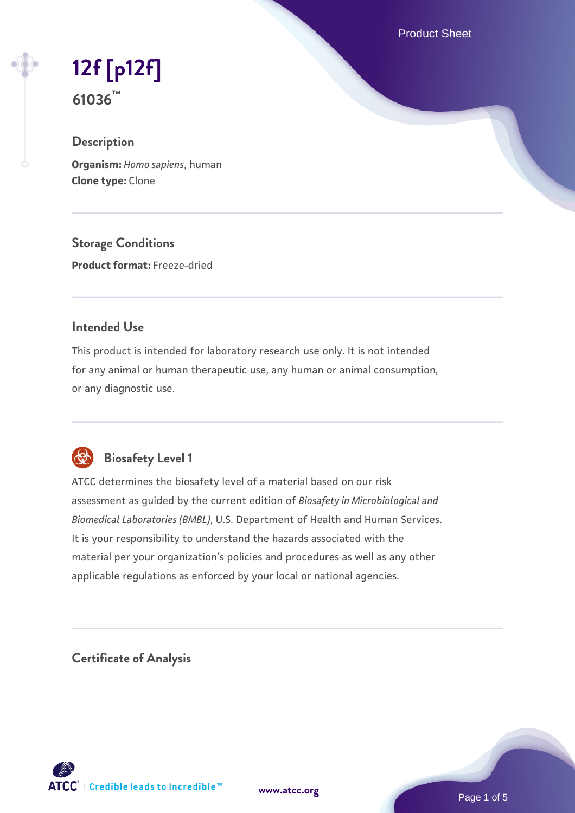Product Sheet

# **[12f \[p12f\]](https://www.atcc.org/products/61036) 61036™**

## **Description**

**Organism:** *Homo sapiens*, human **Clone type:** Clone

**Storage Conditions Product format:** Freeze-dried

## **Intended Use**

This product is intended for laboratory research use only. It is not intended for any animal or human therapeutic use, any human or animal consumption, or any diagnostic use.



# **Biosafety Level 1**

ATCC determines the biosafety level of a material based on our risk assessment as guided by the current edition of *Biosafety in Microbiological and Biomedical Laboratories (BMBL)*, U.S. Department of Health and Human Services. It is your responsibility to understand the hazards associated with the material per your organization's policies and procedures as well as any other applicable regulations as enforced by your local or national agencies.

**Certificate of Analysis**

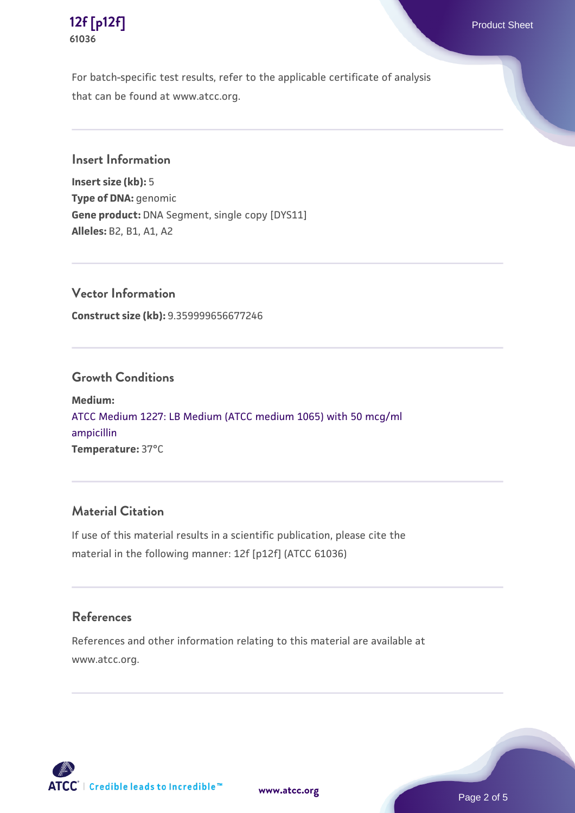

**[12f \[p12f\]](https://www.atcc.org/products/61036)** Product Sheet **61036**

For batch-specific test results, refer to the applicable certificate of analysis that can be found at www.atcc.org.

## **Insert Information**

**Insert size (kb):** 5 **Type of DNA:** genomic **Gene product:** DNA Segment, single copy [DYS11] **Alleles:** B2, B1, A1, A2

**Vector Information**

**Construct size (kb):** 9.359999656677246

## **Growth Conditions**

**Medium:**  [ATCC Medium 1227: LB Medium \(ATCC medium 1065\) with 50 mcg/ml](https://www.atcc.org/-/media/product-assets/documents/microbial-media-formulations/1/2/2/7/atcc-medium-1227.pdf?rev=581c98603b3e4b29a6d62ee0ba9ca578) [ampicillin](https://www.atcc.org/-/media/product-assets/documents/microbial-media-formulations/1/2/2/7/atcc-medium-1227.pdf?rev=581c98603b3e4b29a6d62ee0ba9ca578) **Temperature:** 37°C

## **Material Citation**

If use of this material results in a scientific publication, please cite the material in the following manner: 12f [p12f] (ATCC 61036)

#### **References**

References and other information relating to this material are available at www.atcc.org.



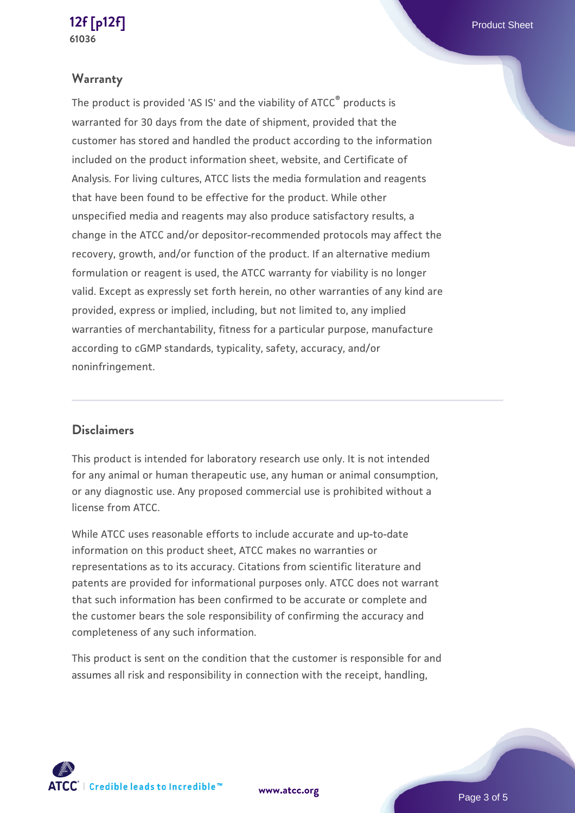## **[12f \[p12f\]](https://www.atcc.org/products/61036)** Product Sheet **61036**

## **Warranty**

The product is provided 'AS IS' and the viability of ATCC® products is warranted for 30 days from the date of shipment, provided that the customer has stored and handled the product according to the information included on the product information sheet, website, and Certificate of Analysis. For living cultures, ATCC lists the media formulation and reagents that have been found to be effective for the product. While other unspecified media and reagents may also produce satisfactory results, a change in the ATCC and/or depositor-recommended protocols may affect the recovery, growth, and/or function of the product. If an alternative medium formulation or reagent is used, the ATCC warranty for viability is no longer valid. Except as expressly set forth herein, no other warranties of any kind are provided, express or implied, including, but not limited to, any implied warranties of merchantability, fitness for a particular purpose, manufacture according to cGMP standards, typicality, safety, accuracy, and/or noninfringement.

## **Disclaimers**

This product is intended for laboratory research use only. It is not intended for any animal or human therapeutic use, any human or animal consumption, or any diagnostic use. Any proposed commercial use is prohibited without a license from ATCC.

While ATCC uses reasonable efforts to include accurate and up-to-date information on this product sheet, ATCC makes no warranties or representations as to its accuracy. Citations from scientific literature and patents are provided for informational purposes only. ATCC does not warrant that such information has been confirmed to be accurate or complete and the customer bears the sole responsibility of confirming the accuracy and completeness of any such information.

This product is sent on the condition that the customer is responsible for and assumes all risk and responsibility in connection with the receipt, handling,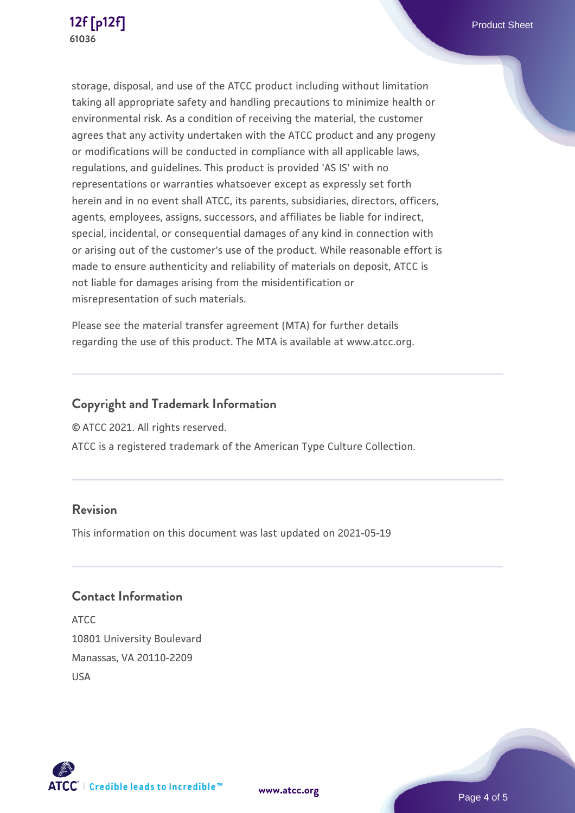

storage, disposal, and use of the ATCC product including without limitation taking all appropriate safety and handling precautions to minimize health or environmental risk. As a condition of receiving the material, the customer agrees that any activity undertaken with the ATCC product and any progeny or modifications will be conducted in compliance with all applicable laws, regulations, and guidelines. This product is provided 'AS IS' with no representations or warranties whatsoever except as expressly set forth herein and in no event shall ATCC, its parents, subsidiaries, directors, officers, agents, employees, assigns, successors, and affiliates be liable for indirect, special, incidental, or consequential damages of any kind in connection with or arising out of the customer's use of the product. While reasonable effort is made to ensure authenticity and reliability of materials on deposit, ATCC is not liable for damages arising from the misidentification or misrepresentation of such materials.

Please see the material transfer agreement (MTA) for further details regarding the use of this product. The MTA is available at www.atcc.org.

## **Copyright and Trademark Information**

© ATCC 2021. All rights reserved.

ATCC is a registered trademark of the American Type Culture Collection.

## **Revision**

This information on this document was last updated on 2021-05-19

## **Contact Information**

ATCC 10801 University Boulevard Manassas, VA 20110-2209 USA





**[www.atcc.org](http://www.atcc.org)**